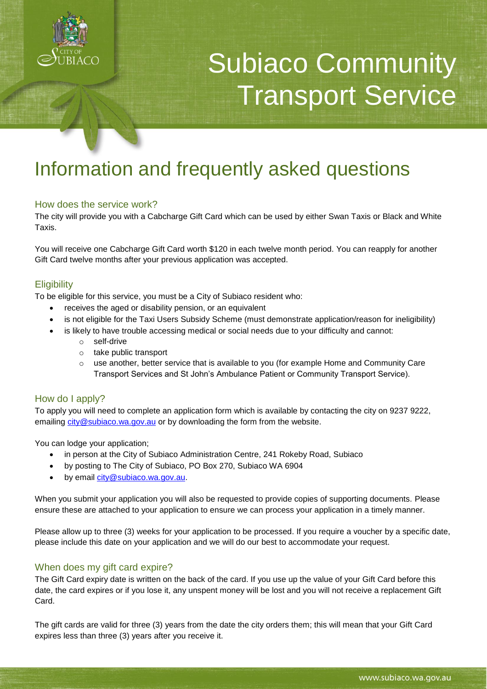

# Subiaco Community Transport Service

# Information and frequently asked questions

# How does the service work?

The city will provide you with a Cabcharge Gift Card which can be used by either Swan Taxis or Black and White Taxis.

You will receive one Cabcharge Gift Card worth \$120 in each twelve month period. You can reapply for another Gift Card twelve months after your previous application was accepted.

### **Eligibility**

To be eligible for this service, you must be a City of Subiaco resident who:

- receives the aged or disability pension, or an equivalent
- is not eligible for the Taxi Users Subsidy Scheme (must demonstrate application/reason for ineligibility)
- is likely to have trouble accessing medical or social needs due to your difficulty and cannot:
	- o self-drive
	- o take public transport
	- $\circ$  use another, better service that is available to you (for example Home and Community Care Transport Services and St John's Ambulance Patient or Community Transport Service).

# How do I apply?

To apply you will need to complete an application form which is available by contacting the city on 9237 9222, emailing [city@subiaco.wa.gov.au](mailto:city@subiaco.wa.gov.au) or by downloading the form from the website.

You can lodge your application;

- in person at the City of Subiaco Administration Centre, 241 Rokeby Road, Subiaco
- by posting to The City of Subiaco, PO Box 270, Subiaco WA 6904
- by email [city@subiaco.wa.gov.au.](mailto:city@subiaco.wa.gov.au)

When you submit your application you will also be requested to provide copies of supporting documents. Please ensure these are attached to your application to ensure we can process your application in a timely manner.

Please allow up to three (3) weeks for your application to be processed. If you require a voucher by a specific date, please include this date on your application and we will do our best to accommodate your request.

# When does my gift card expire?

The Gift Card expiry date is written on the back of the card. If you use up the value of your Gift Card before this date, the card expires or if you lose it, any unspent money will be lost and you will not receive a replacement Gift Card.

The gift cards are valid for three (3) years from the date the city orders them; this will mean that your Gift Card expires less than three (3) years after you receive it.